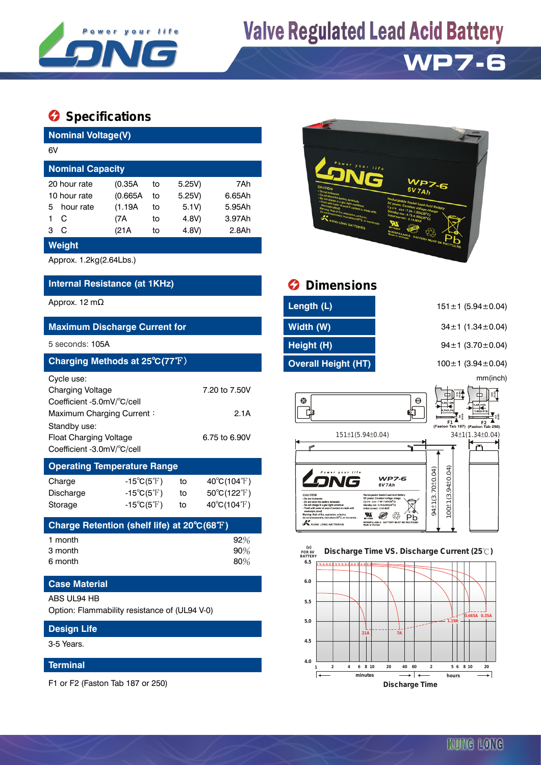

# **Valve Regulated Lead Acid Battery**



## $\Omega$  Specifications

| <b>Nominal Voltage(V)</b>                                                                                        |                                                                                                     |                       |                |                                                                           |  |  |  |  |
|------------------------------------------------------------------------------------------------------------------|-----------------------------------------------------------------------------------------------------|-----------------------|----------------|---------------------------------------------------------------------------|--|--|--|--|
| 6V                                                                                                               |                                                                                                     |                       |                |                                                                           |  |  |  |  |
| <b>Nominal Capacity</b>                                                                                          |                                                                                                     |                       |                |                                                                           |  |  |  |  |
| 20 hour rate<br>10 hour rate                                                                                     | (0.35A)<br>(0.665A)                                                                                 | 5.25V)<br>5.25V)      | 7Ah<br>6.65Ah  |                                                                           |  |  |  |  |
| hour rate<br>5<br>1<br>C<br>C<br>3                                                                               | (1.19A)<br>(7A                                                                                      | to<br>to              | 5.1V)<br>4.8V) | 5.95Ah<br>3.97Ah<br>2.8Ah                                                 |  |  |  |  |
| Weight                                                                                                           | (21A                                                                                                | to                    | 4.8V)          |                                                                           |  |  |  |  |
| Approx. 1.2kg(2.64Lbs.)                                                                                          |                                                                                                     |                       |                |                                                                           |  |  |  |  |
| Internal Resistance (at 1KHz)                                                                                    |                                                                                                     |                       |                |                                                                           |  |  |  |  |
| Approx. 12 m $\Omega$                                                                                            |                                                                                                     |                       |                |                                                                           |  |  |  |  |
| <b>Maximum Discharge Current for</b>                                                                             |                                                                                                     |                       |                |                                                                           |  |  |  |  |
| 5 seconds: 105A                                                                                                  |                                                                                                     |                       |                |                                                                           |  |  |  |  |
| Charging Methods at 25°C(77°F)                                                                                   |                                                                                                     |                       |                |                                                                           |  |  |  |  |
| Cycle use:<br><b>Charging Voltage</b><br>Coefficient -5.0mV/°C/cell<br>Maximum Charging Current:<br>Standby use: |                                                                                                     | 7.20 to 7.50V<br>2.1A |                |                                                                           |  |  |  |  |
| <b>Float Charging Voltage</b><br>6.75 to 6.90V<br>Coefficient -3.0mV/°C/cell                                     |                                                                                                     |                       |                |                                                                           |  |  |  |  |
| <b>Operating Temperature Range</b>                                                                               |                                                                                                     |                       |                |                                                                           |  |  |  |  |
| Charge<br>Discharge<br>Storage                                                                                   | $-15^{\circ}C(5^{\circ}F)$<br>$-15^{\circ}C(5^{\circ}F)$<br>-15 $^{\circ}$ C(5 $^{\circ}$ F) $^{-}$ |                       | to<br>to<br>to | $40^{\circ}C(104^{\circ}F)$<br>50°C(122°F)<br>$40^{\circ}C(104^{\circ}F)$ |  |  |  |  |
| Charge Retention (shelf life) at 20°C(68°F)                                                                      |                                                                                                     |                       |                |                                                                           |  |  |  |  |
| 1 month<br>3 month<br>6 month                                                                                    |                                                                                                     | 92%<br>$90\%$<br>80%  |                |                                                                           |  |  |  |  |
| <b>Case Material</b>                                                                                             |                                                                                                     |                       |                |                                                                           |  |  |  |  |
| ABS UL94 HB<br>Option: Flammability resistance of (UL94 V-0)                                                     |                                                                                                     |                       |                |                                                                           |  |  |  |  |
| <b>Design Life</b>                                                                                               |                                                                                                     |                       |                |                                                                           |  |  |  |  |

3-5 Years.

#### **Terminal**

F1 or F2 (Faston Tab 187 or 250)



## *<u>Dimensions</u>*

| Length (L)                 |  |
|----------------------------|--|
| Width (W)                  |  |
| Height (H)                 |  |
| <b>Overall Height (HT)</b> |  |
|                            |  |

151 ± 1 (5.94 ± 0.04)

**Maximum Discharge Current for Width (W)** 34±1 (1.34±0.04)

94±1 (3.70±0.04)

**Charging Methods at 25**℃**(77**℉) **Overall Height (HT)** 100±1 (3.94±0.04)

mm(inch)



### **6.0 6.5 FOR 6V BATTERY Discharge Time VS. Discharge Current (25 ℃)**